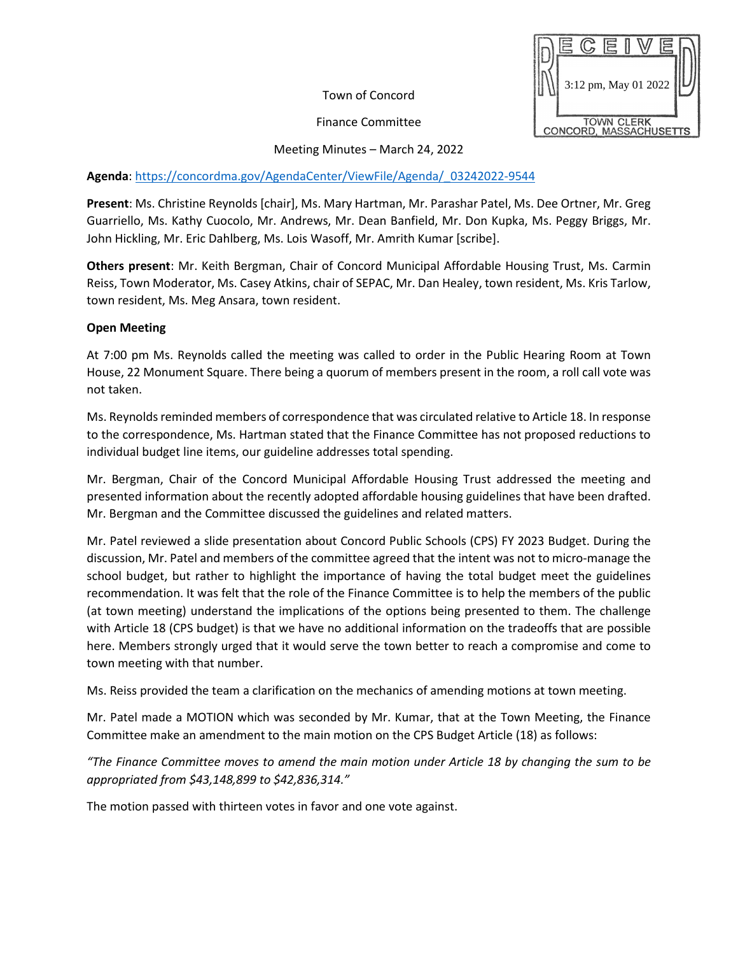Town of Concord

Finance Committee



Meeting Minutes – March 24, 2022

## **Agenda**: [https://concordma.gov/AgendaCenter/ViewFile/Agenda/\\_03242022-9544](https://concordma.gov/AgendaCenter/ViewFile/Agenda/_03242022-9544)

**Present**: Ms. Christine Reynolds [chair], Ms. Mary Hartman, Mr. Parashar Patel, Ms. Dee Ortner, Mr. Greg Guarriello, Ms. Kathy Cuocolo, Mr. Andrews, Mr. Dean Banfield, Mr. Don Kupka, Ms. Peggy Briggs, Mr. John Hickling, Mr. Eric Dahlberg, Ms. Lois Wasoff, Mr. Amrith Kumar [scribe].

**Others present**: Mr. Keith Bergman, Chair of Concord Municipal Affordable Housing Trust, Ms. Carmin Reiss, Town Moderator, Ms. Casey Atkins, chair of SEPAC, Mr. Dan Healey, town resident, Ms. Kris Tarlow, town resident, Ms. Meg Ansara, town resident.

## **Open Meeting**

At 7:00 pm Ms. Reynolds called the meeting was called to order in the Public Hearing Room at Town House, 22 Monument Square. There being a quorum of members present in the room, a roll call vote was not taken.

Ms. Reynolds reminded members of correspondence that was circulated relative to Article 18. In response to the correspondence, Ms. Hartman stated that the Finance Committee has not proposed reductions to individual budget line items, our guideline addresses total spending.

Mr. Bergman, Chair of the Concord Municipal Affordable Housing Trust addressed the meeting and presented information about the recently adopted affordable housing guidelines that have been drafted. Mr. Bergman and the Committee discussed the guidelines and related matters.

Mr. Patel reviewed a slide presentation about Concord Public Schools (CPS) FY 2023 Budget. During the discussion, Mr. Patel and members of the committee agreed that the intent was not to micro-manage the school budget, but rather to highlight the importance of having the total budget meet the guidelines recommendation. It was felt that the role of the Finance Committee is to help the members of the public (at town meeting) understand the implications of the options being presented to them. The challenge with Article 18 (CPS budget) is that we have no additional information on the tradeoffs that are possible here. Members strongly urged that it would serve the town better to reach a compromise and come to town meeting with that number.

Ms. Reiss provided the team a clarification on the mechanics of amending motions at town meeting.

Mr. Patel made a MOTION which was seconded by Mr. Kumar, that at the Town Meeting, the Finance Committee make an amendment to the main motion on the CPS Budget Article (18) as follows:

*"The Finance Committee moves to amend the main motion under Article 18 by changing the sum to be appropriated from \$43,148,899 to \$42,836,314."*

The motion passed with thirteen votes in favor and one vote against.